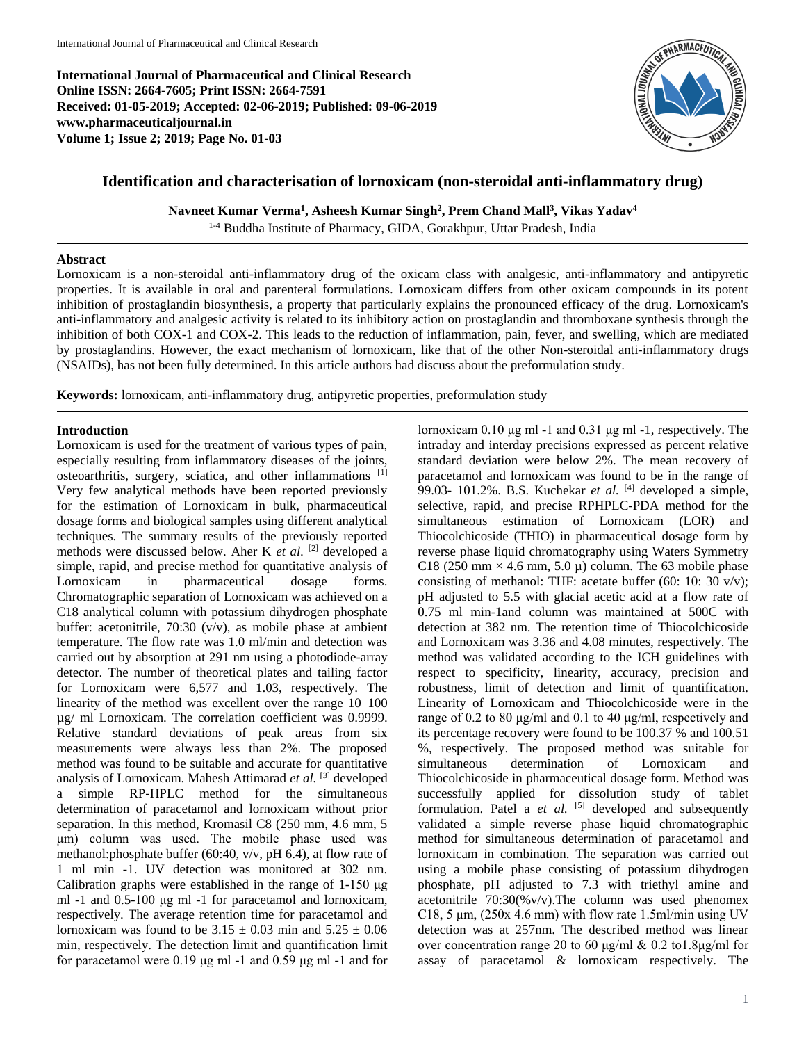**International Journal of Pharmaceutical and Clinical Research Online ISSN: 2664-7605; Print ISSN: 2664-7591 Received: 01-05-2019; Accepted: 02-06-2019; Published: 09-06-2019 www.pharmaceuticaljournal.in Volume 1; Issue 2; 2019; Page No. 01-03**



# **Identification and characterisation of lornoxicam (non-steroidal anti-inflammatory drug)**

**Navneet Kumar Verma<sup>1</sup> , Asheesh Kumar Singh<sup>2</sup> , Prem Chand Mall<sup>3</sup> , Vikas Yadav<sup>4</sup>**

1-4 Buddha Institute of Pharmacy, GIDA, Gorakhpur, Uttar Pradesh, India

#### **Abstract**

Lornoxicam is a non-steroidal anti-inflammatory drug of the oxicam class with analgesic, anti-inflammatory and antipyretic properties. It is available in oral and parenteral formulations. Lornoxicam differs from other oxicam compounds in its potent inhibition of prostaglandin biosynthesis, a property that particularly explains the pronounced efficacy of the drug. Lornoxicam's anti-inflammatory and analgesic activity is related to its inhibitory action on prostaglandin and thromboxane synthesis through the inhibition of both COX-1 and COX-2. This leads to the reduction of inflammation, pain, fever, and swelling, which are mediated by prostaglandins. However, the exact mechanism of lornoxicam, like that of the other Non-steroidal anti-inflammatory drugs (NSAIDs), has not been fully determined. In this article authors had discuss about the preformulation study.

**Keywords:** lornoxicam, anti-inflammatory drug, antipyretic properties, preformulation study

### **Introduction**

Lornoxicam is used for the treatment of various types of pain, especially resulting from inflammatory diseases of the joints, osteoarthritis, surgery, sciatica, and other inflammations [1] Very few analytical methods have been reported previously for the estimation of Lornoxicam in bulk, pharmaceutical dosage forms and biological samples using different analytical techniques. The summary results of the previously reported methods were discussed below. Aher K *et al.* [2] developed a simple, rapid, and precise method for quantitative analysis of Lornoxicam in pharmaceutical dosage forms. Chromatographic separation of Lornoxicam was achieved on a C18 analytical column with potassium dihydrogen phosphate buffer: acetonitrile, 70:30 (v/v), as mobile phase at ambient temperature. The flow rate was 1.0 ml/min and detection was carried out by absorption at 291 nm using a photodiode-array detector. The number of theoretical plates and tailing factor for Lornoxicam were 6,577 and 1.03, respectively. The linearity of the method was excellent over the range 10–100 µg/ ml Lornoxicam. The correlation coefficient was 0.9999. Relative standard deviations of peak areas from six measurements were always less than 2%. The proposed method was found to be suitable and accurate for quantitative analysis of Lornoxicam. Mahesh Attimarad *et al.* [3] developed a simple RP-HPLC method for the simultaneous determination of paracetamol and lornoxicam without prior separation. In this method, Kromasil C8 (250 mm, 4.6 mm, 5 μm) column was used. The mobile phase used was methanol:phosphate buffer (60:40, v/v, pH 6.4), at flow rate of 1 ml min -1. UV detection was monitored at 302 nm. Calibration graphs were established in the range of 1-150 μg ml -1 and 0.5-100 μg ml -1 for paracetamol and lornoxicam, respectively. The average retention time for paracetamol and lornoxicam was found to be  $3.15 \pm 0.03$  min and  $5.25 \pm 0.06$ min, respectively. The detection limit and quantification limit for paracetamol were 0.19 μg ml -1 and 0.59 μg ml -1 and for

lornoxicam 0.10 μg ml -1 and 0.31 μg ml -1, respectively. The intraday and interday precisions expressed as percent relative standard deviation were below 2%. The mean recovery of paracetamol and lornoxicam was found to be in the range of 99.03- 101.2%. B.S. Kuchekar *et al.* <sup>[4]</sup> developed a simple, selective, rapid, and precise RPHPLC-PDA method for the simultaneous estimation of Lornoxicam (LOR) and Thiocolchicoside (THIO) in pharmaceutical dosage form by reverse phase liquid chromatography using Waters Symmetry C18 (250 mm  $\times$  4.6 mm, 5.0  $\mu$ ) column. The 63 mobile phase consisting of methanol: THF: acetate buffer (60: 10: 30 v/v); pH adjusted to 5.5 with glacial acetic acid at a flow rate of 0.75 ml min-1and column was maintained at 500C with detection at 382 nm. The retention time of Thiocolchicoside and Lornoxicam was 3.36 and 4.08 minutes, respectively. The method was validated according to the ICH guidelines with respect to specificity, linearity, accuracy, precision and robustness, limit of detection and limit of quantification. Linearity of Lornoxicam and Thiocolchicoside were in the range of 0.2 to 80 μg/ml and 0.1 to 40 μg/ml, respectively and its percentage recovery were found to be 100.37 % and 100.51 %, respectively. The proposed method was suitable for simultaneous determination of Lornoxicam and Thiocolchicoside in pharmaceutical dosage form. Method was successfully applied for dissolution study of tablet formulation. Patel a *et al.* <sup>[5]</sup> developed and subsequently validated a simple reverse phase liquid chromatographic method for simultaneous determination of paracetamol and lornoxicam in combination. The separation was carried out using a mobile phase consisting of potassium dihydrogen phosphate, pH adjusted to 7.3 with triethyl amine and acetonitrile  $70:30\%$  v/v). The column was used phenomex C18, 5  $\mu$ m, (250x 4.6 mm) with flow rate 1.5ml/min using UV detection was at 257nm. The described method was linear over concentration range 20 to 60  $\mu$ g/ml & 0.2 to1.8 $\mu$ g/ml for assay of paracetamol & lornoxicam respectively. The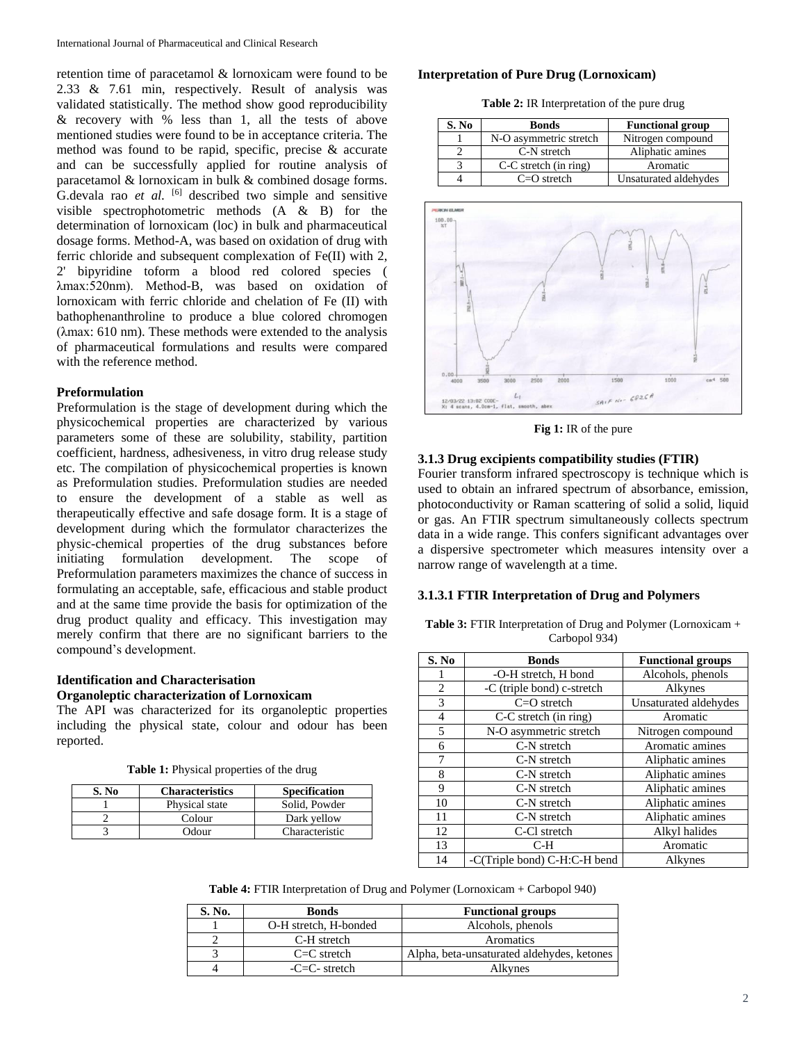retention time of paracetamol & lornoxicam were found to be 2.33 & 7.61 min, respectively. Result of analysis was validated statistically. The method show good reproducibility & recovery with % less than 1, all the tests of above mentioned studies were found to be in acceptance criteria. The method was found to be rapid, specific, precise & accurate and can be successfully applied for routine analysis of paracetamol & lornoxicam in bulk & combined dosage forms. G.devala rao *et al.* <sup>[6]</sup> described two simple and sensitive visible spectrophotometric methods  $(A \& B)$  for the determination of lornoxicam (loc) in bulk and pharmaceutical dosage forms. Method-A, was based on oxidation of drug with ferric chloride and subsequent complexation of Fe(II) with 2, 2' bipyridine toform a blood red colored species ( λmax:520nm). Method-B, was based on oxidation of lornoxicam with ferric chloride and chelation of Fe (II) with bathophenanthroline to produce a blue colored chromogen (λmax: 610 nm). These methods were extended to the analysis of pharmaceutical formulations and results were compared with the reference method.

#### **Preformulation**

reported.

Preformulation is the stage of development during which the physicochemical properties are characterized by various parameters some of these are solubility, stability, partition coefficient, hardness, adhesiveness, in vitro drug release study etc. The compilation of physicochemical properties is known as Preformulation studies. Preformulation studies are needed to ensure the development of a stable as well as therapeutically effective and safe dosage form. It is a stage of development during which the formulator characterizes the physic-chemical properties of the drug substances before initiating formulation development. The scope of Preformulation parameters maximizes the chance of success in formulating an acceptable, safe, efficacious and stable product and at the same time provide the basis for optimization of the drug product quality and efficacy. This investigation may merely confirm that there are no significant barriers to the compound's development.

#### **Identification and Characterisation Organoleptic characterization of Lornoxicam**

The API was characterized for its organoleptic properties including the physical state, colour and odour has been

| Table 1: Physical properties of the drug |  |  |  |
|------------------------------------------|--|--|--|
|------------------------------------------|--|--|--|

| S. No | <b>Characteristics</b> | <b>Specification</b> |
|-------|------------------------|----------------------|
|       | Physical state         | Solid. Powder        |
|       | Colour                 | Dark yellow          |
|       | Odour                  | Characteristic       |

# **Interpretation of Pure Drug (Lornoxicam)**

**Table 2:** IR Interpretation of the pure drug

| S. No | <b>Bonds</b>            | <b>Functional group</b> |
|-------|-------------------------|-------------------------|
|       | N-O asymmetric stretch  | Nitrogen compound       |
|       | C-N stretch             | Aliphatic amines        |
|       | $C-C$ stretch (in ring) | Aromatic                |
|       | $C=O$ stretch           | Unsaturated aldehydes   |



**Fig 1:** IR of the pure

### **3.1.3 Drug excipients compatibility studies (FTIR)**

Fourier transform infrared spectroscopy is technique which is used to obtain an infrared spectrum of absorbance, emission, photoconductivity or Raman scattering of solid a solid, liquid or gas. An FTIR spectrum simultaneously collects spectrum data in a wide range. This confers significant advantages over a dispersive spectrometer which measures intensity over a narrow range of wavelength at a time.

# **3.1.3.1 FTIR Interpretation of Drug and Polymers**

| <b>Table 3:</b> FTIR Interpretation of Drug and Polymer (Lornoxicam $+$ |
|-------------------------------------------------------------------------|
| Carbopol 934)                                                           |

| S. No         | <b>Bonds</b>                 | <b>Functional groups</b> |
|---------------|------------------------------|--------------------------|
|               | -O-H stretch, H bond         | Alcohols, phenols        |
| 2             | -C (triple bond) c-stretch   | Alkynes                  |
| $\mathcal{F}$ | $C=O$ stretch                | Unsaturated aldehydes    |
| 4             | $C-C$ stretch (in ring)      | Aromatic                 |
| 5             | N-O asymmetric stretch       | Nitrogen compound        |
| 6             | C-N stretch                  | Aromatic amines          |
| 7             | C-N stretch                  | Aliphatic amines         |
| 8             | C-N stretch                  | Aliphatic amines         |
| 9             | C-N stretch                  | Aliphatic amines         |
| 10            | C-N stretch                  | Aliphatic amines         |
| 11            | C-N stretch                  | Aliphatic amines         |
| 12            | C-Cl stretch                 | Alkyl halides            |
| 13            | $C-H$                        | Aromatic                 |
| 14            | -C(Triple bond) C-H:C-H bend | Alkynes                  |

**Table 4:** FTIR Interpretation of Drug and Polymer (Lornoxicam + Carbopol 940)

| S. No. | <b>Bonds</b>          | <b>Functional groups</b>                   |
|--------|-----------------------|--------------------------------------------|
|        | O-H stretch, H-bonded | Alcohols, phenols                          |
|        | C-H stretch           | Aromatics                                  |
|        | $C=C$ stretch         | Alpha, beta-unsaturated aldehydes, ketones |
|        | $-C=C-$ stretch       | Alkynes                                    |